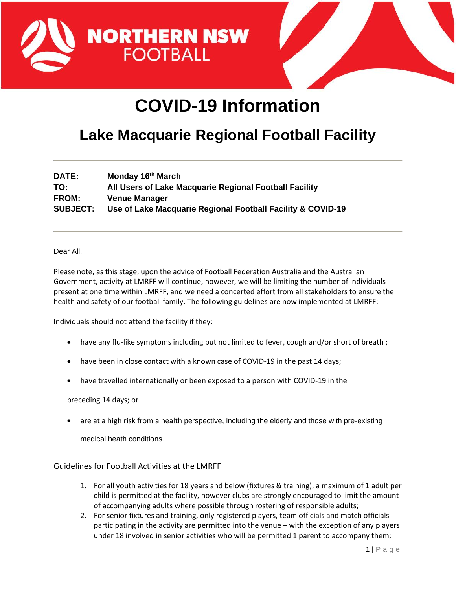



## **COVID-19 Information**

## **Lake Macquarie Regional Football Facility**

| <b>DATE:</b>    | Monday 16 <sup>th</sup> March                               |
|-----------------|-------------------------------------------------------------|
| TO:             | All Users of Lake Macquarie Regional Football Facility      |
| <b>FROM:</b>    | <b>Venue Manager</b>                                        |
| <b>SUBJECT:</b> | Use of Lake Macquarie Regional Football Facility & COVID-19 |

Dear All,

Please note, as this stage, upon the advice of Football Federation Australia and the Australian Government, activity at LMRFF will continue, however, we will be limiting the number of individuals present at one time within LMRFF, and we need a concerted effort from all stakeholders to ensure the health and safety of our football family. The following guidelines are now implemented at LMRFF:

Individuals should not attend the facility if they:

- have any flu-like symptoms including but not limited to fever, cough and/or short of breath;
- have been in close contact with a known case of COVID-19 in the past 14 days;
- have travelled internationally or been exposed to a person with COVID-19 in the

preceding 14 days; or

• are at a high risk from a health perspective, including the elderly and those with pre-existing

medical heath conditions.

Guidelines for Football Activities at the LMRFF

- 1. For all youth activities for 18 years and below (fixtures & training), a maximum of 1 adult per child is permitted at the facility, however clubs are strongly encouraged to limit the amount of accompanying adults where possible through rostering of responsible adults;
- 2. For senior fixtures and training, only registered players, team officials and match officials participating in the activity are permitted into the venue – with the exception of any players under 18 involved in senior activities who will be permitted 1 parent to accompany them;